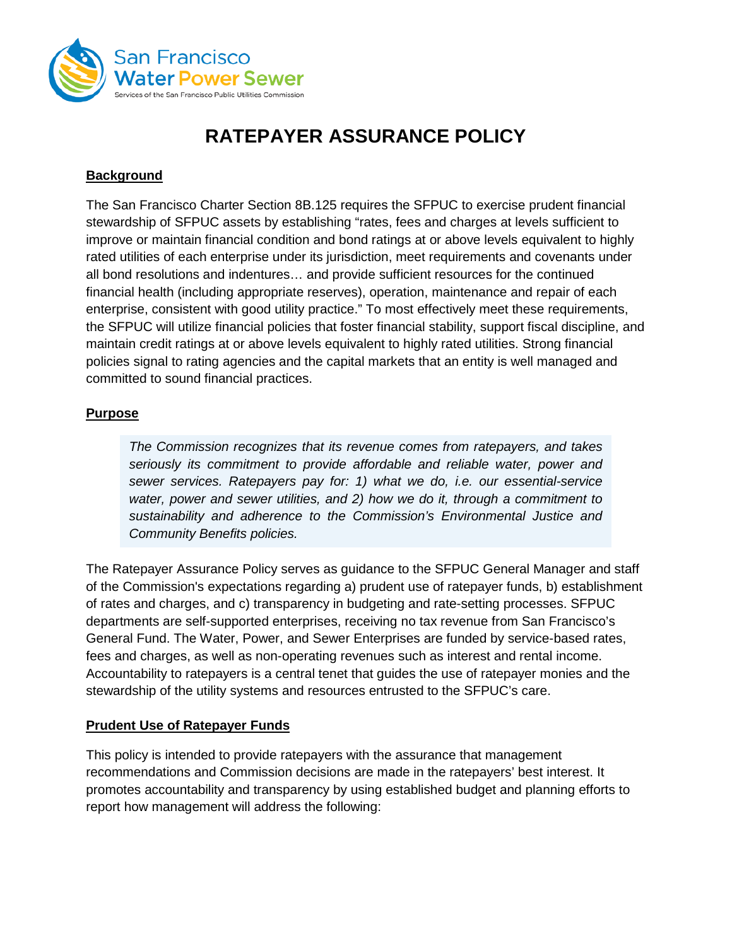

# **RATEPAYER ASSURANCE POLICY**

#### **Background**

The San Francisco Charter Section 8B.125 requires the SFPUC to exercise prudent financial stewardship of SFPUC assets by establishing "rates, fees and charges at levels sufficient to improve or maintain financial condition and bond ratings at or above levels equivalent to highly rated utilities of each enterprise under its jurisdiction, meet requirements and covenants under all bond resolutions and indentures… and provide sufficient resources for the continued financial health (including appropriate reserves), operation, maintenance and repair of each enterprise, consistent with good utility practice." To most effectively meet these requirements, the SFPUC will utilize financial policies that foster financial stability, support fiscal discipline, and maintain credit ratings at or above levels equivalent to highly rated utilities. Strong financial policies signal to rating agencies and the capital markets that an entity is well managed and committed to sound financial practices.

#### **Purpose**

*The Commission recognizes that its revenue comes from ratepayers, and takes seriously its commitment to provide affordable and reliable water, power and sewer services. Ratepayers pay for: 1) what we do, i.e. our essential-service water, power and sewer utilities, and 2) how we do it, through a commitment to sustainability and adherence to the Commission's Environmental Justice and Community Benefits policies.* 

The Ratepayer Assurance Policy serves as guidance to the SFPUC General Manager and staff of the Commission's expectations regarding a) prudent use of ratepayer funds, b) establishment of rates and charges, and c) transparency in budgeting and rate-setting processes. SFPUC departments are self-supported enterprises, receiving no tax revenue from San Francisco's General Fund. The Water, Power, and Sewer Enterprises are funded by service-based rates, fees and charges, as well as non-operating revenues such as interest and rental income. Accountability to ratepayers is a central tenet that guides the use of ratepayer monies and the stewardship of the utility systems and resources entrusted to the SFPUC's care.

#### **Prudent Use of Ratepayer Funds**

This policy is intended to provide ratepayers with the assurance that management recommendations and Commission decisions are made in the ratepayers' best interest. It promotes accountability and transparency by using established budget and planning efforts to report how management will address the following: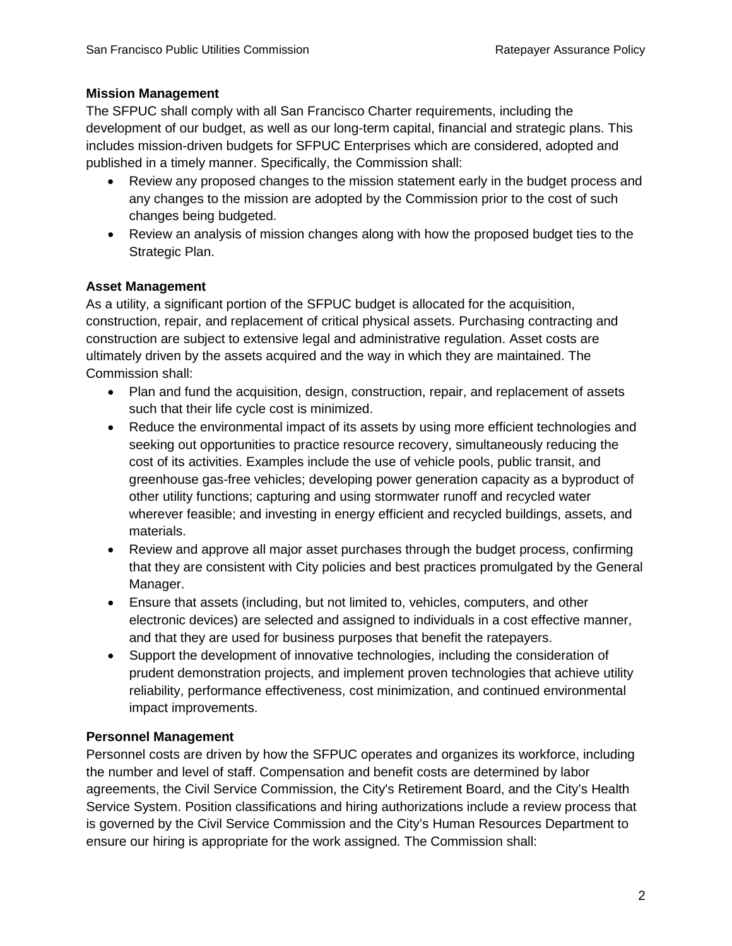## **Mission Management**

The SFPUC shall comply with all San Francisco Charter requirements, including the development of our budget, as well as our long-term capital, financial and strategic plans. This includes mission-driven budgets for SFPUC Enterprises which are considered, adopted and published in a timely manner. Specifically, the Commission shall:

- Review any proposed changes to the mission statement early in the budget process and any changes to the mission are adopted by the Commission prior to the cost of such changes being budgeted.
- Review an analysis of mission changes along with how the proposed budget ties to the Strategic Plan.

## **Asset Management**

As a utility, a significant portion of the SFPUC budget is allocated for the acquisition, construction, repair, and replacement of critical physical assets. Purchasing contracting and construction are subject to extensive legal and administrative regulation. Asset costs are ultimately driven by the assets acquired and the way in which they are maintained. The Commission shall:

- Plan and fund the acquisition, design, construction, repair, and replacement of assets such that their life cycle cost is minimized.
- Reduce the environmental impact of its assets by using more efficient technologies and seeking out opportunities to practice resource recovery, simultaneously reducing the cost of its activities. Examples include the use of vehicle pools, public transit, and greenhouse gas-free vehicles; developing power generation capacity as a byproduct of other utility functions; capturing and using stormwater runoff and recycled water wherever feasible; and investing in energy efficient and recycled buildings, assets, and materials.
- Review and approve all major asset purchases through the budget process, confirming that they are consistent with City policies and best practices promulgated by the General Manager.
- Ensure that assets (including, but not limited to, vehicles, computers, and other electronic devices) are selected and assigned to individuals in a cost effective manner, and that they are used for business purposes that benefit the ratepayers.
- Support the development of innovative technologies, including the consideration of prudent demonstration projects, and implement proven technologies that achieve utility reliability, performance effectiveness, cost minimization, and continued environmental impact improvements.

## **Personnel Management**

Personnel costs are driven by how the SFPUC operates and organizes its workforce, including the number and level of staff. Compensation and benefit costs are determined by labor agreements, the Civil Service Commission, the City's Retirement Board, and the City's Health Service System. Position classifications and hiring authorizations include a review process that is governed by the Civil Service Commission and the City's Human Resources Department to ensure our hiring is appropriate for the work assigned. The Commission shall: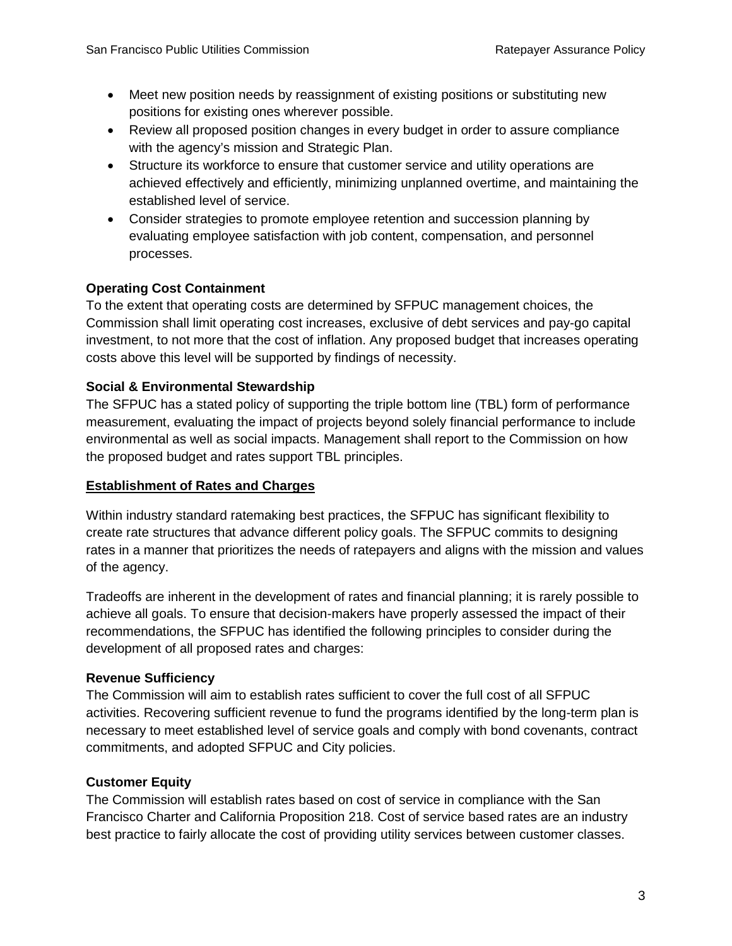- Meet new position needs by reassignment of existing positions or substituting new positions for existing ones wherever possible.
- Review all proposed position changes in every budget in order to assure compliance with the agency's mission and Strategic Plan.
- Structure its workforce to ensure that customer service and utility operations are achieved effectively and efficiently, minimizing unplanned overtime, and maintaining the established level of service.
- Consider strategies to promote employee retention and succession planning by evaluating employee satisfaction with job content, compensation, and personnel processes.

# **Operating Cost Containment**

To the extent that operating costs are determined by SFPUC management choices, the Commission shall limit operating cost increases, exclusive of debt services and pay-go capital investment, to not more that the cost of inflation. Any proposed budget that increases operating costs above this level will be supported by findings of necessity.

# **Social & Environmental Stewardship**

The SFPUC has a stated policy of supporting the triple bottom line (TBL) form of performance measurement, evaluating the impact of projects beyond solely financial performance to include environmental as well as social impacts. Management shall report to the Commission on how the proposed budget and rates support TBL principles.

## **Establishment of Rates and Charges**

Within industry standard ratemaking best practices, the SFPUC has significant flexibility to create rate structures that advance different policy goals. The SFPUC commits to designing rates in a manner that prioritizes the needs of ratepayers and aligns with the mission and values of the agency.

Tradeoffs are inherent in the development of rates and financial planning; it is rarely possible to achieve all goals. To ensure that decision-makers have properly assessed the impact of their recommendations, the SFPUC has identified the following principles to consider during the development of all proposed rates and charges:

## **Revenue Sufficiency**

The Commission will aim to establish rates sufficient to cover the full cost of all SFPUC activities. Recovering sufficient revenue to fund the programs identified by the long-term plan is necessary to meet established level of service goals and comply with bond covenants, contract commitments, and adopted SFPUC and City policies.

## **Customer Equity**

The Commission will establish rates based on cost of service in compliance with the San Francisco Charter and California Proposition 218. Cost of service based rates are an industry best practice to fairly allocate the cost of providing utility services between customer classes.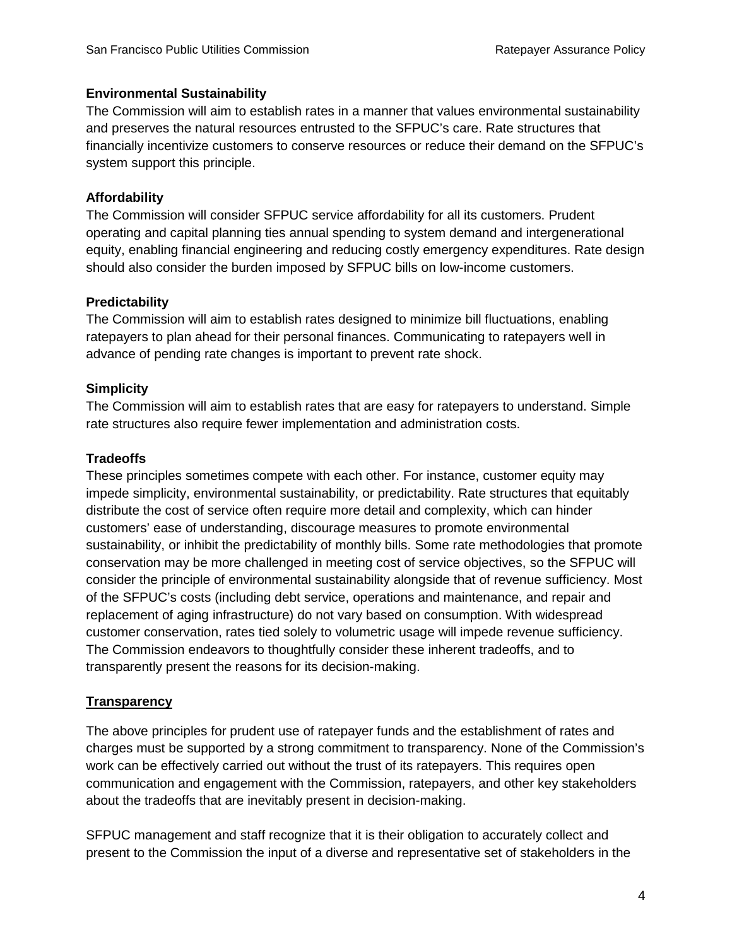#### **Environmental Sustainability**

The Commission will aim to establish rates in a manner that values environmental sustainability and preserves the natural resources entrusted to the SFPUC's care. Rate structures that financially incentivize customers to conserve resources or reduce their demand on the SFPUC's system support this principle.

#### **Affordability**

The Commission will consider SFPUC service affordability for all its customers. Prudent operating and capital planning ties annual spending to system demand and intergenerational equity, enabling financial engineering and reducing costly emergency expenditures. Rate design should also consider the burden imposed by SFPUC bills on low-income customers.

#### **Predictability**

The Commission will aim to establish rates designed to minimize bill fluctuations, enabling ratepayers to plan ahead for their personal finances. Communicating to ratepayers well in advance of pending rate changes is important to prevent rate shock.

#### **Simplicity**

The Commission will aim to establish rates that are easy for ratepayers to understand. Simple rate structures also require fewer implementation and administration costs.

#### **Tradeoffs**

These principles sometimes compete with each other. For instance, customer equity may impede simplicity, environmental sustainability, or predictability. Rate structures that equitably distribute the cost of service often require more detail and complexity, which can hinder customers' ease of understanding, discourage measures to promote environmental sustainability, or inhibit the predictability of monthly bills. Some rate methodologies that promote conservation may be more challenged in meeting cost of service objectives, so the SFPUC will consider the principle of environmental sustainability alongside that of revenue sufficiency. Most of the SFPUC's costs (including debt service, operations and maintenance, and repair and replacement of aging infrastructure) do not vary based on consumption. With widespread customer conservation, rates tied solely to volumetric usage will impede revenue sufficiency. The Commission endeavors to thoughtfully consider these inherent tradeoffs, and to transparently present the reasons for its decision-making.

## **Transparency**

The above principles for prudent use of ratepayer funds and the establishment of rates and charges must be supported by a strong commitment to transparency. None of the Commission's work can be effectively carried out without the trust of its ratepayers. This requires open communication and engagement with the Commission, ratepayers, and other key stakeholders about the tradeoffs that are inevitably present in decision-making.

SFPUC management and staff recognize that it is their obligation to accurately collect and present to the Commission the input of a diverse and representative set of stakeholders in the